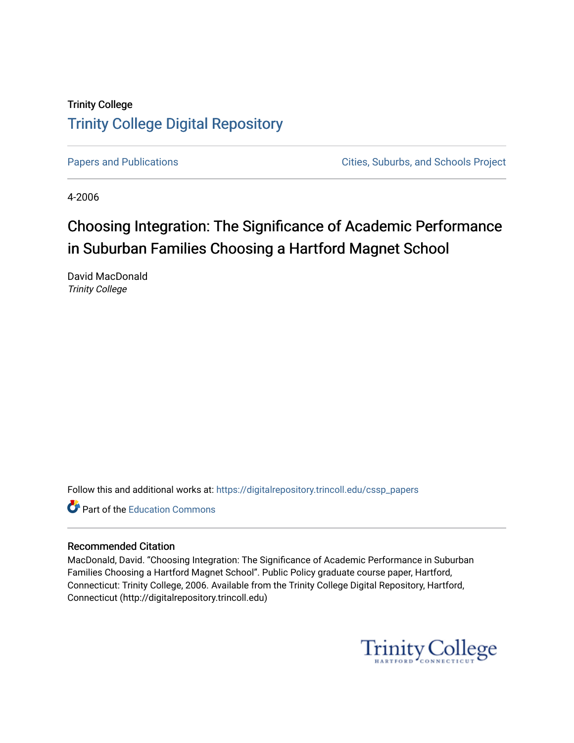# Trinity College [Trinity College Digital Repository](https://digitalrepository.trincoll.edu/)

[Papers and Publications](https://digitalrepository.trincoll.edu/cssp_papers) **Papers** and Publications **Cities**, Suburbs, and Schools Project

4-2006

# Choosing Integration: The Significance of Academic Performance in Suburban Families Choosing a Hartford Magnet School

David MacDonald Trinity College

Follow this and additional works at: [https://digitalrepository.trincoll.edu/cssp\\_papers](https://digitalrepository.trincoll.edu/cssp_papers?utm_source=digitalrepository.trincoll.edu%2Fcssp_papers%2F33&utm_medium=PDF&utm_campaign=PDFCoverPages) 

Part of the [Education Commons](http://network.bepress.com/hgg/discipline/784?utm_source=digitalrepository.trincoll.edu%2Fcssp_papers%2F33&utm_medium=PDF&utm_campaign=PDFCoverPages)

### Recommended Citation

MacDonald, David. "Choosing Integration: The Significance of Academic Performance in Suburban Families Choosing a Hartford Magnet School". Public Policy graduate course paper, Hartford, Connecticut: Trinity College, 2006. Available from the Trinity College Digital Repository, Hartford, Connecticut (http://digitalrepository.trincoll.edu)

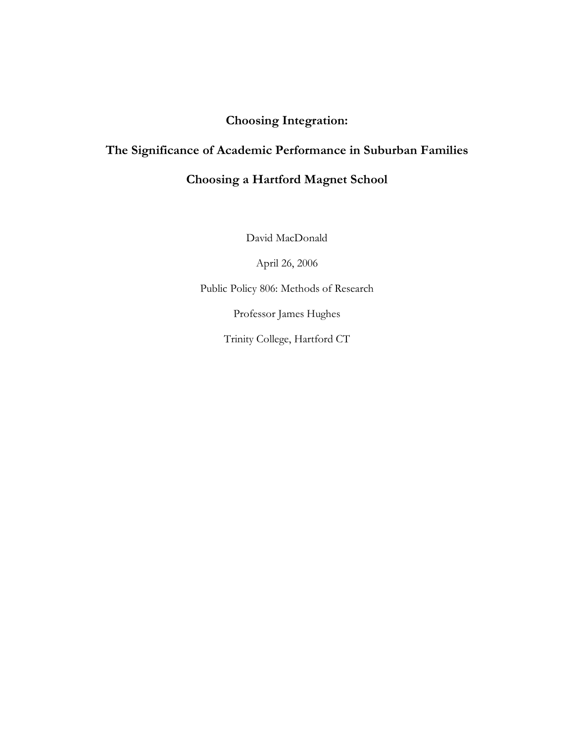# **Choosing Integration:**

# **The Significance of Academic Performance in Suburban Families**

# **Choosing a Hartford Magnet School**

David MacDonald

April 26, 2006

Public Policy 806: Methods of Research

Professor James Hughes

Trinity College, Hartford CT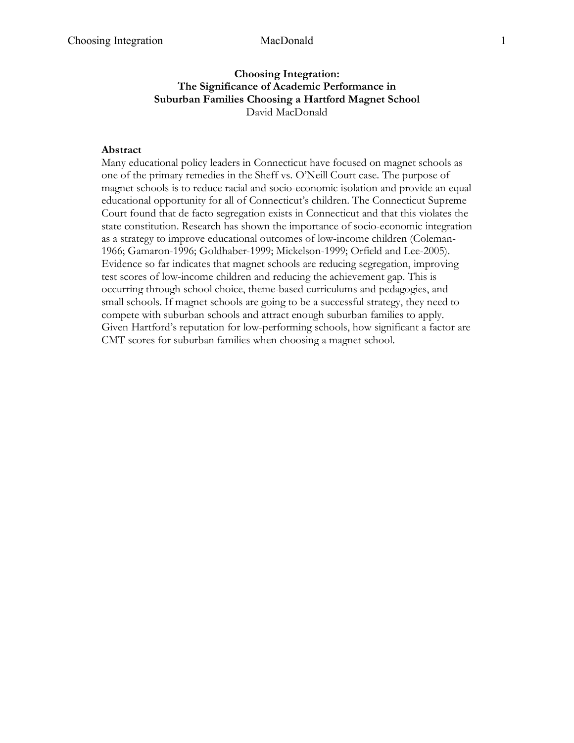### **Choosing Integration: The Significance of Academic Performance in Suburban Families Choosing a Hartford Magnet School** David MacDonald

### **Abstract**

Many educational policy leaders in Connecticut have focused on magnet schools as one of the primary remedies in the Sheff vs. O'Neill Court case. The purpose of magnet schools is to reduce racial and socio-economic isolation and provide an equal educational opportunity for all of Connecticut's children. The Connecticut Supreme Court found that de facto segregation exists in Connecticut and that this violates the state constitution. Research has shown the importance of socio-economic integration as a strategy to improve educational outcomes of low-income children (Coleman-1966; Gamaron-1996; Goldhaber-1999; Mickelson-1999; Orfield and Lee-2005). Evidence so far indicates that magnet schools are reducing segregation, improving test scores of low-income children and reducing the achievement gap. This is occurring through school choice, theme-based curriculums and pedagogies, and small schools. If magnet schools are going to be a successful strategy, they need to compete with suburban schools and attract enough suburban families to apply. Given Hartford's reputation for low-performing schools, how significant a factor are CMT scores for suburban families when choosing a magnet school.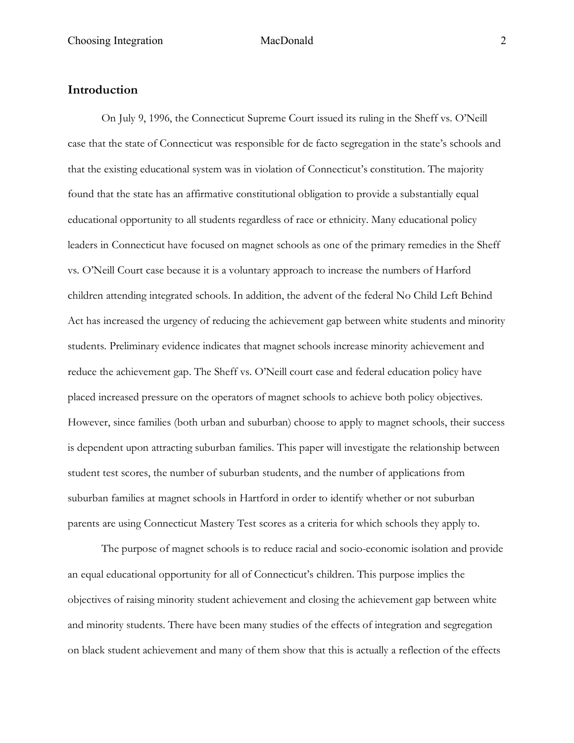### **Introduction**

On July 9, 1996, the Connecticut Supreme Court issued its ruling in the Sheff vs. O'Neill case that the state of Connecticut was responsible for de facto segregation in the state's schools and that the existing educational system was in violation of Connecticut's constitution. The majority found that the state has an affirmative constitutional obligation to provide a substantially equal educational opportunity to all students regardless of race or ethnicity. Many educational policy leaders in Connecticut have focused on magnet schools as one of the primary remedies in the Sheff vs. O'Neill Court case because it is a voluntary approach to increase the numbers of Harford children attending integrated schools. In addition, the advent of the federal No Child Left Behind Act has increased the urgency of reducing the achievement gap between white students and minority students. Preliminary evidence indicates that magnet schools increase minority achievement and reduce the achievement gap. The Sheff vs. O'Neill court case and federal education policy have placed increased pressure on the operators of magnet schools to achieve both policy objectives. However, since families (both urban and suburban) choose to apply to magnet schools, their success is dependent upon attracting suburban families. This paper will investigate the relationship between student test scores, the number of suburban students, and the number of applications from suburban families at magnet schools in Hartford in order to identify whether or not suburban parents are using Connecticut Mastery Test scores as a criteria for which schools they apply to.

The purpose of magnet schools is to reduce racial and socio-economic isolation and provide an equal educational opportunity for all of Connecticut's children. This purpose implies the objectives of raising minority student achievement and closing the achievement gap between white and minority students. There have been many studies of the effects of integration and segregation on black student achievement and many of them show that this is actually a reflection of the effects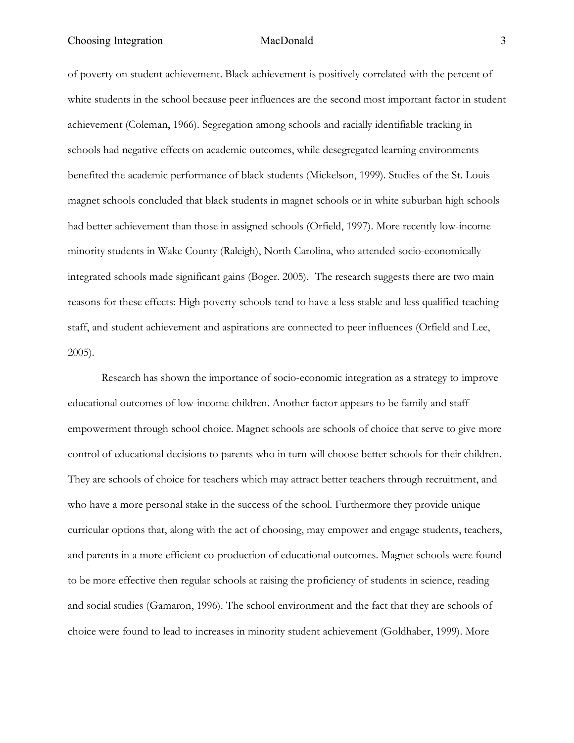Choosing Integration MacDonald 3

of poverty on student achievement. Black achievement is positively correlated with the percent of white students in the school because peer influences are the second most important factor in student achievement (Coleman, 1966). Segregation among schools and racially identifiable tracking in schools had negative effects on academic outcomes, while desegregated learning environments benefited the academic performance of black students (Mickelson, 1999). Studies of the St. Louis magnet schools concluded that black students in magnet schools or in white suburban high schools had better achievement than those in assigned schools (Orfield, 1997). More recently low-income minority students in Wake County (Raleigh), North Carolina, who attended socio-economically integrated schools made significant gains (Boger. 2005). The research suggests there are two main reasons for these effects: High poverty schools tend to have a less stable and less qualified teaching staff, and student achievement and aspirations are connected to peer influences (Orfield and Lee, 2005).

Research has shown the importance of socio-economic integration as a strategy to improve educational outcomes of low-income children. Another factor appears to be family and staff empowerment through school choice. Magnet schools are schools of choice that serve to give more control of educational decisions to parents who in turn will choose better schools for their children. They are schools of choice for teachers which may attract better teachers through recruitment, and who have a more personal stake in the success of the school. Furthermore they provide unique curricular options that, along with the act of choosing, may empower and engage students, teachers, and parents in a more efficient co-production of educational outcomes. Magnet schools were found to be more effective then regular schools at raising the proficiency of students in science, reading and social studies (Gamaron, 1996). The school environment and the fact that they are schools of choice were found to lead to increases in minority student achievement (Goldhaber, 1999). More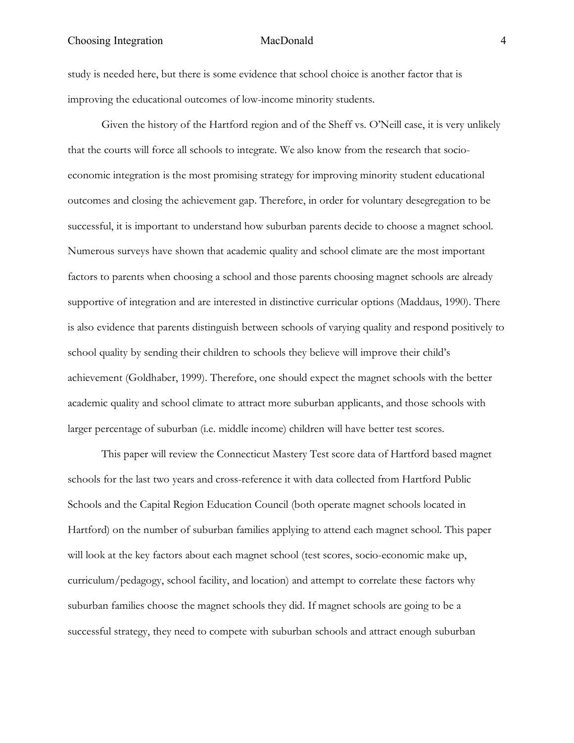### Choosing Integration MacDonald 4

study is needed here, but there is some evidence that school choice is another factor that is improving the educational outcomes of low-income minority students.

Given the history of the Hartford region and of the Sheff vs. O'Neill case, it is very unlikely that the courts will force all schools to integrate. We also know from the research that socioeconomic integration is the most promising strategy for improving minority student educational outcomes and closing the achievement gap. Therefore, in order for voluntary desegregation to be successful, it is important to understand how suburban parents decide to choose a magnet school. Numerous surveys have shown that academic quality and school climate are the most important factors to parents when choosing a school and those parents choosing magnet schools are already supportive of integration and are interested in distinctive curricular options (Maddaus, 1990). There is also evidence that parents distinguish between schools of varying quality and respond positively to school quality by sending their children to schools they believe will improve their child's achievement (Goldhaber, 1999). Therefore, one should expect the magnet schools with the better academic quality and school climate to attract more suburban applicants, and those schools with larger percentage of suburban (i.e. middle income) children will have better test scores.

This paper will review the Connecticut Mastery Test score data of Hartford based magnet schools for the last two years and cross-reference it with data collected from Hartford Public Schools and the Capital Region Education Council (both operate magnet schools located in Hartford) on the number of suburban families applying to attend each magnet school. This paper will look at the key factors about each magnet school (test scores, socio-economic make up, curriculum/pedagogy, school facility, and location) and attempt to correlate these factors why suburban families choose the magnet schools they did. If magnet schools are going to be a successful strategy, they need to compete with suburban schools and attract enough suburban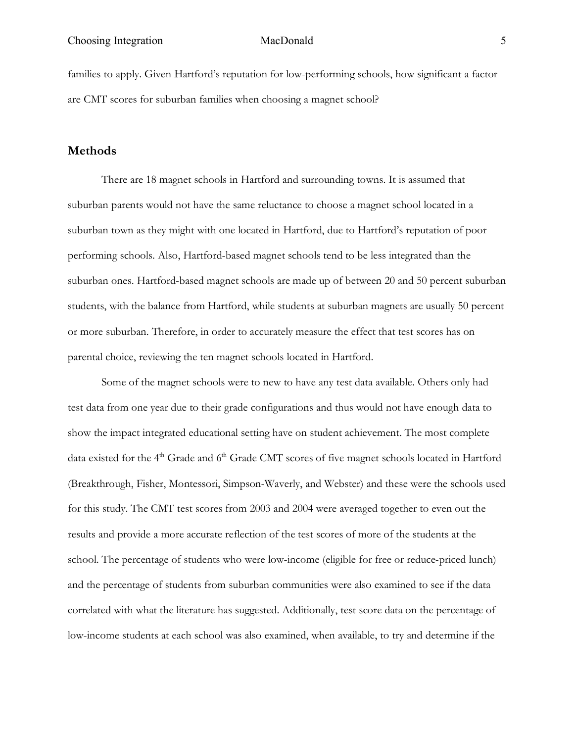families to apply. Given Hartford's reputation for low-performing schools, how significant a factor are CMT scores for suburban families when choosing a magnet school?

### **Methods**

There are 18 magnet schools in Hartford and surrounding towns. It is assumed that suburban parents would not have the same reluctance to choose a magnet school located in a suburban town as they might with one located in Hartford, due to Hartford's reputation of poor performing schools. Also, Hartford-based magnet schools tend to be less integrated than the suburban ones. Hartford-based magnet schools are made up of between 20 and 50 percent suburban students, with the balance from Hartford, while students at suburban magnets are usually 50 percent or more suburban. Therefore, in order to accurately measure the effect that test scores has on parental choice, reviewing the ten magnet schools located in Hartford.

Some of the magnet schools were to new to have any test data available. Others only had test data from one year due to their grade configurations and thus would not have enough data to show the impact integrated educational setting have on student achievement. The most complete data existed for the 4<sup>th</sup> Grade and 6<sup>th</sup> Grade CMT scores of five magnet schools located in Hartford (Breakthrough, Fisher, Montessori, Simpson-Waverly, and Webster) and these were the schools used for this study. The CMT test scores from 2003 and 2004 were averaged together to even out the results and provide a more accurate reflection of the test scores of more of the students at the school. The percentage of students who were low-income (eligible for free or reduce-priced lunch) and the percentage of students from suburban communities were also examined to see if the data correlated with what the literature has suggested. Additionally, test score data on the percentage of low-income students at each school was also examined, when available, to try and determine if the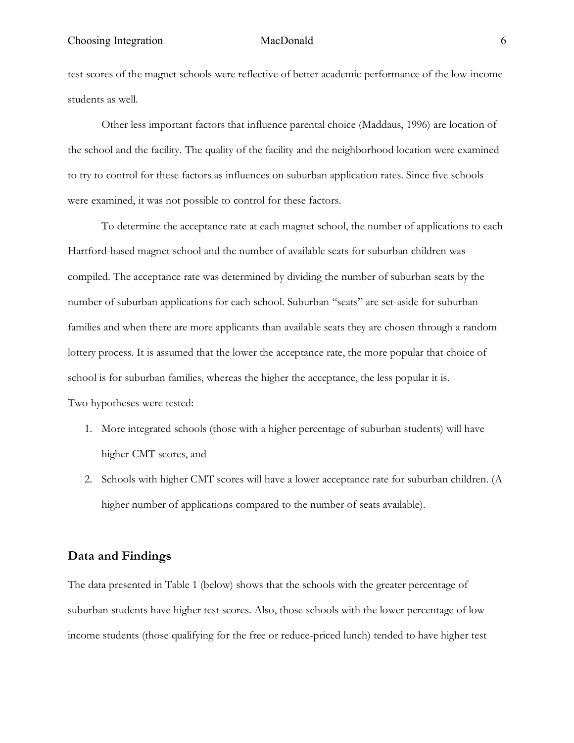### Choosing Integration MacDonald 6

test scores of the magnet schools were reflective of better academic performance of the low-income students as well.

Other less important factors that influence parental choice (Maddaus, 1996) are location of the school and the facility. The quality of the facility and the neighborhood location were examined to try to control for these factors as influences on suburban application rates. Since five schools were examined, it was not possible to control for these factors.

To determine the acceptance rate at each magnet school, the number of applications to each Hartford-based magnet school and the number of available seats for suburban children was compiled. The acceptance rate was determined by dividing the number of suburban seats by the number of suburban applications for each school. Suburban "seats" are set-aside for suburban families and when there are more applicants than available seats they are chosen through a random lottery process. It is assumed that the lower the acceptance rate, the more popular that choice of school is for suburban families, whereas the higher the acceptance, the less popular it is. Two hypotheses were tested:

- 1. More integrated schools (those with a higher percentage of suburban students) will have higher CMT scores, and
- 2. Schools with higher CMT scores will have a lower acceptance rate for suburban children. (A higher number of applications compared to the number of seats available).

### **Data and Findings**

The data presented in Table 1 (below) shows that the schools with the greater percentage of suburban students have higher test scores. Also, those schools with the lower percentage of lowincome students (those qualifying for the free or reduce-priced lunch) tended to have higher test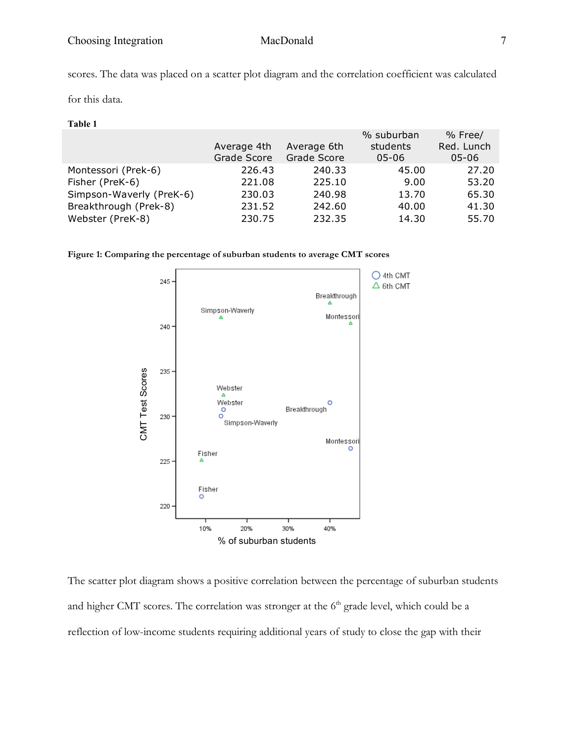scores. The data was placed on a scatter plot diagram and the correlation coefficient was calculated

for this data.

| Ш |  |
|---|--|
|---|--|

|             |                    | % suburban | % Free/    |
|-------------|--------------------|------------|------------|
| Average 4th | Average 6th        | students   | Red. Lunch |
| Grade Score | <b>Grade Score</b> | $05 - 06$  | $05 - 06$  |
| 226.43      | 240.33             | 45.00      | 27.20      |
| 221.08      | 225.10             | 9.00       | 53.20      |
| 230.03      | 240.98             | 13.70      | 65.30      |
| 231.52      | 242.60             | 40.00      | 41.30      |
| 230.75      | 232.35             | 14.30      | 55.70      |
|             |                    |            |            |





The scatter plot diagram shows a positive correlation between the percentage of suburban students and higher CMT scores. The correlation was stronger at the  $6<sup>th</sup>$  grade level, which could be a reflection of low-income students requiring additional years of study to close the gap with their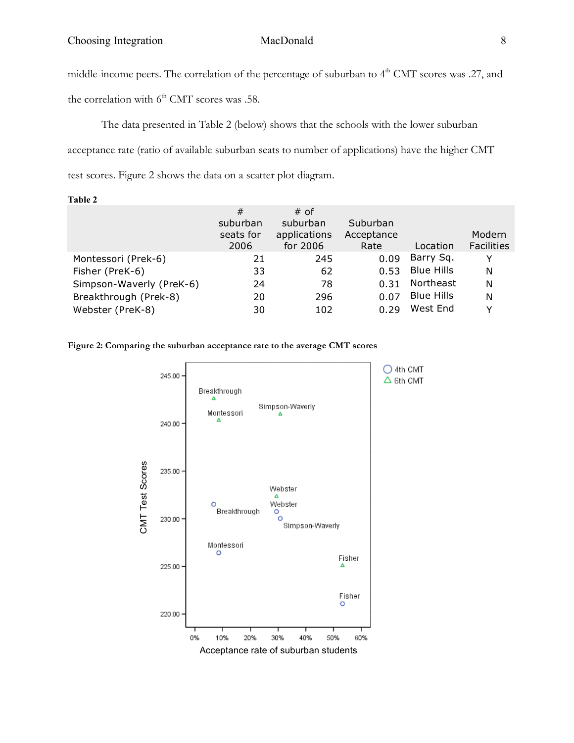middle-income peers. The correlation of the percentage of suburban to  $4<sup>th</sup>$  CMT scores was .27, and

the correlation with  $6<sup>th</sup>$  CMT scores was .58.

The data presented in Table 2 (below) shows that the schools with the lower suburban acceptance rate (ratio of available suburban seats to number of applications) have the higher CMT test scores. Figure 2 shows the data on a scatter plot diagram.

**Table 2** # suburban seats for 2006 suburban applications

|                          | 2006 | for 2006 | Rate        | Location          | <b>Facilities</b> |
|--------------------------|------|----------|-------------|-------------------|-------------------|
| Montessori (Prek-6)      | 21   | 245      | 0.09        | Barry Sq.         |                   |
| Fisher (PreK-6)          | 33   | 62       | 0.53        | <b>Blue Hills</b> | N                 |
| Simpson-Waverly (PreK-6) | 24   | 78       | 0.31        | Northeast         | N                 |
| Breakthrough (Prek-8)    | 20   | 296      | <u>በ በ7</u> | <b>Blue Hills</b> | N                 |
| Webster (PreK-8)         | 30   | 102      | 0.29        | West End          |                   |

# of

Suburban Acceptance

**Figure 2: Comparing the suburban acceptance rate to the average CMT scores**



Modern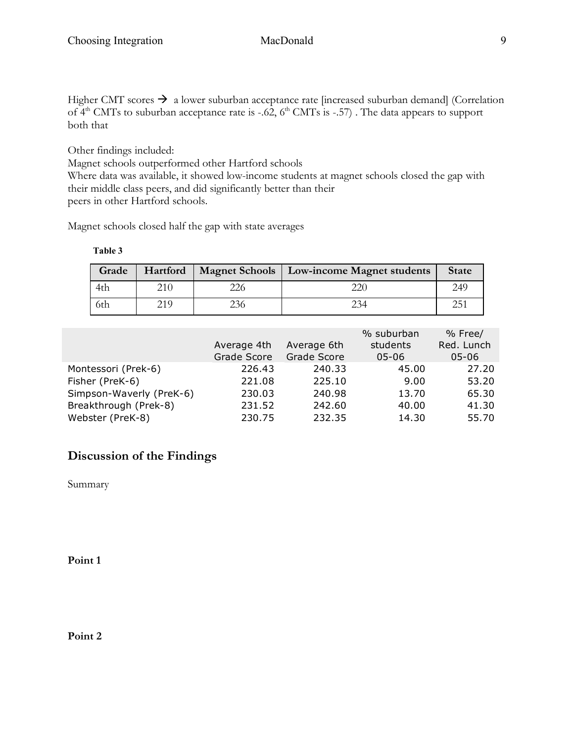Higher CMT scores  $\rightarrow$  a lower suburban acceptance rate [increased suburban demand] (Correlation of  $4<sup>th</sup>$  CMTs to suburban acceptance rate is -.62,  $6<sup>th</sup>$  CMTs is -.57). The data appears to support both that

Other findings included:

Magnet schools outperformed other Hartford schools Where data was available, it showed low-income students at magnet schools closed the gap with their middle class peers, and did significantly better than their peers in other Hartford schools.

Magnet schools closed half the gap with state averages

### **Table 3**

| Grade |     |     | Hartford   Magnet Schools   Low-income Magnet students | <b>State</b> |
|-------|-----|-----|--------------------------------------------------------|--------------|
| 4th   | 210 |     |                                                        | 249          |
| 6th   | 219 | 236 |                                                        | つに1          |

| Average 4th<br>Grade Score | Average 6th<br>Grade Score | % suburban<br>students<br>$05 - 06$ | % Free/<br>Red. Lunch<br>$05 - 06$ |
|----------------------------|----------------------------|-------------------------------------|------------------------------------|
| 226.43                     | 240.33                     | 45.00                               | 27.20                              |
| 221.08                     | 225.10                     | 9.00                                | 53.20                              |
| 230.03                     | 240.98                     | 13.70                               | 65.30                              |
| 231.52                     | 242.60                     | 40.00                               | 41.30                              |
| 230.75                     | 232.35                     | 14.30                               | 55.70                              |
|                            |                            |                                     |                                    |

## **Discussion of the Findings**

Summary

**Point 1**

**Point 2**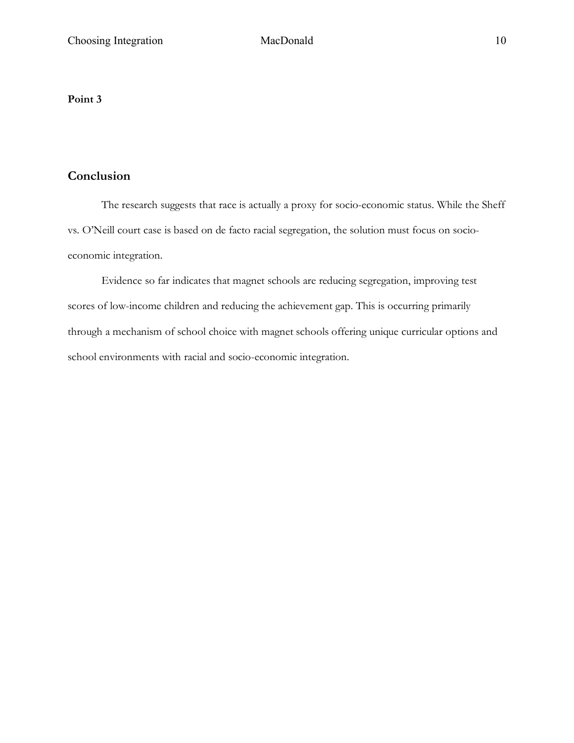### **Point 3**

## **Conclusion**

The research suggests that race is actually a proxy for socio-economic status. While the Sheff vs. O'Neill court case is based on de facto racial segregation, the solution must focus on socioeconomic integration.

Evidence so far indicates that magnet schools are reducing segregation, improving test scores of low-income children and reducing the achievement gap. This is occurring primarily through a mechanism of school choice with magnet schools offering unique curricular options and school environments with racial and socio-economic integration.